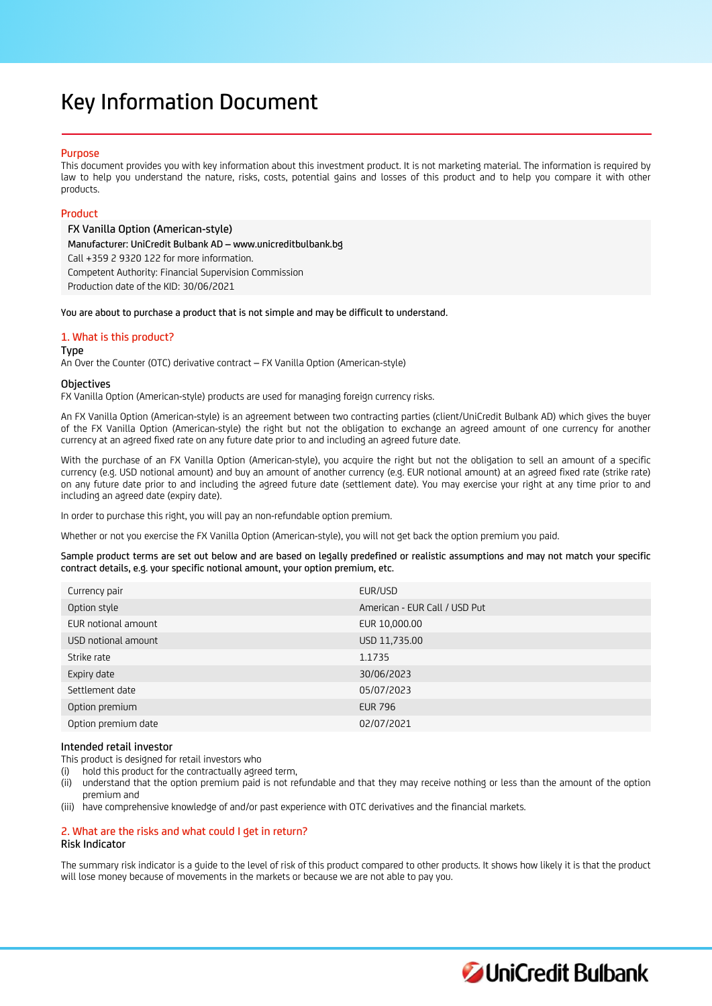# Key Information Document

## Purpose

This document provides you with key information about this investment product. It is not marketing material. The information is required by law to help you understand the nature, risks, costs, potential gains and losses of this product and to help you compare it with other products.

## Product

FX Vanilla Option (American-style) Manufacturer: UniCredit Bulbank AD – www.unicreditbulbank.bg Call +359 2 9320 122 for more information. Competent Authority: Financial Supervision Commission Production date of the KID: 30/06/2021

You are about to purchase a product that is not simple and may be difficult to understand.

## 1. What is this product?

Type

An Over the Counter (OTC) derivative contract – FX Vanilla Option (American-style)

## **Objectives**

FX Vanilla Option (American-style) products are used for managing foreign currency risks.

An FX Vanilla Option (American-style) is an agreement between two contracting parties (client/UniCredit Bulbank AD) which gives the buyer of the FX Vanilla Option (American-style) the right but not the obligation to exchange an agreed amount of one currency for another currency at an agreed fixed rate on any future date prior to and including an agreed future date.

With the purchase of an FX Vanilla Option (American-style), you acquire the right but not the obligation to sell an amount of a specific currency (e.g. USD notional amount) and buy an amount of another currency (e.g. EUR notional amount) at an agreed fixed rate (strike rate) on any future date prior to and including the agreed future date (settlement date). You may exercise your right at any time prior to and including an agreed date (expiry date).

In order to purchase this right, you will pay an non-refundable option premium.

Whether or not you exercise the FX Vanilla Option (American-style), you will not get back the option premium you paid.

Sample product terms are set out below and are based on legally predefined or realistic assumptions and may not match your specific contract details, e.g. your specific notional amount, your option premium, etc.

| Currency pair       | EUR/USD                       |
|---------------------|-------------------------------|
| Option style        | American - EUR Call / USD Put |
| EUR notional amount | EUR 10,000.00                 |
| USD notional amount | USD 11,735.00                 |
| Strike rate         | 1.1735                        |
| Expiry date         | 30/06/2023                    |
| Settlement date     | 05/07/2023                    |
| Option premium      | <b>EUR 796</b>                |
| Option premium date | 02/07/2021                    |

## Intended retail investor

This product is designed for retail investors who

(i) hold this product for the contractually agreed term,

(ii) understand that the option premium paid is not refundable and that they may receive nothing or less than the amount of the option premium and

(iii) have comprehensive knowledge of and/or past experience with OTC derivatives and the financial markets.

## 2. What are the risks and what could I get in return? Risk Indicator

The summary risk indicator is a guide to the level of risk of this product compared to other products. It shows how likely it is that the product will lose money because of movements in the markets or because we are not able to pay you.

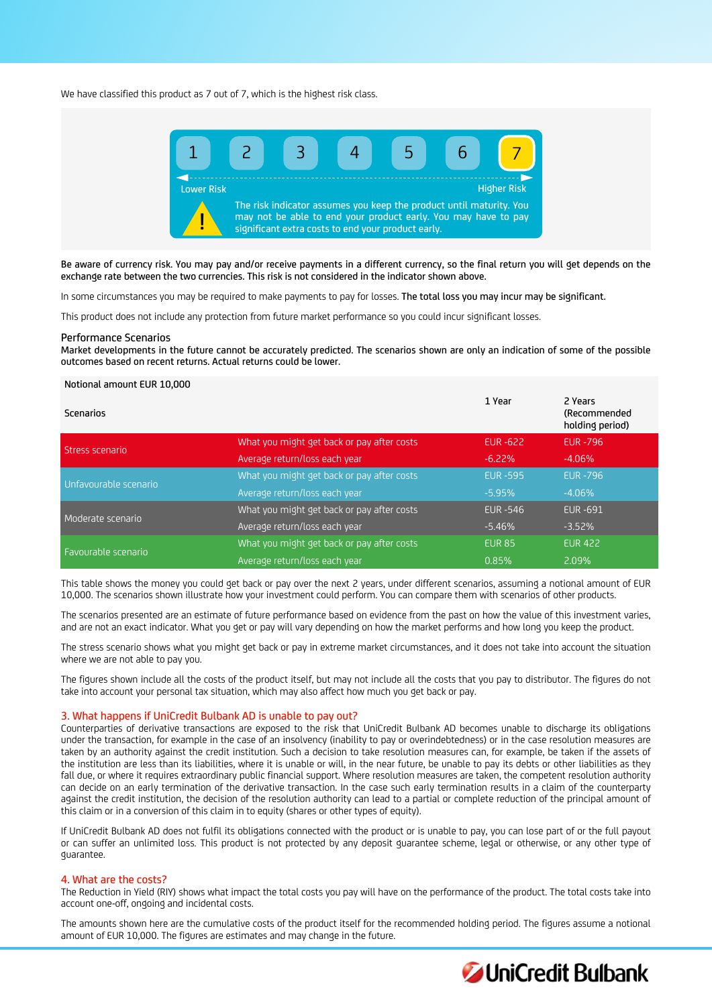We have classified this product as 7 out of 7, which is the highest risk class.



Be aware of currency risk. You may pay and/or receive payments in a different currency, so the final return you will get depends on the exchange rate between the two currencies. This risk is not considered in the indicator shown above.

In some circumstances you may be required to make payments to pay for losses. The total loss you may incur may be significant.

This product does not include any protection from future market performance so you could incur significant losses.

#### Performance Scenarios

Market developments in the future cannot be accurately predicted. The scenarios shown are only an indication of some of the possible outcomes based on recent returns. Actual returns could be lower.

## Notional amount EUR 10,000

| Scenarios             |                                            | 1 Year          | 2 Years<br>(Recommended<br>holding period) |
|-----------------------|--------------------------------------------|-----------------|--------------------------------------------|
| Stress scenario       | What you might get back or pay after costs | EUR -622        | <b>EUR-796</b>                             |
|                       | Average return/loss each year              | $-6.22\%$       | $-4.06%$                                   |
| Unfavourable scenario | What you might get back or pay after costs | <b>EUR -595</b> | <b>EUR - 796</b>                           |
|                       | Average return/loss each year              | $-5.95%$        | $-4.06\%$                                  |
| Moderate scenario     | What you might get back or pay after costs | <b>EUR -546</b> | <b>EUR-691</b>                             |
|                       | Average return/loss each year              | $-5.46%$        | $-3.52%$                                   |
| Favourable scenario   | What you might get back or pay after costs | <b>EUR 85</b>   | <b>EUR 422</b>                             |
|                       | Average return/loss each year              | 0.85%           | 2.09%                                      |

This table shows the money you could get back or pay over the next 2 years, under different scenarios, assuming a notional amount of EUR 10,000. The scenarios shown illustrate how your investment could perform. You can compare them with scenarios of other products.

The scenarios presented are an estimate of future performance based on evidence from the past on how the value of this investment varies, and are not an exact indicator. What you get or pay will vary depending on how the market performs and how long you keep the product.

The stress scenario shows what you might get back or pay in extreme market circumstances, and it does not take into account the situation where we are not able to pay you.

The figures shown include all the costs of the product itself, but may not include all the costs that you pay to distributor. The figures do not take into account your personal tax situation, which may also affect how much you get back or pay.

## 3. What happens if UniCredit Bulbank AD is unable to pay out?

Counterparties of derivative transactions are exposed to the risk that UniCredit Bulbank AD becomes unable to discharge its obligations under the transaction, for example in the case of an insolvency (inability to pay or overindebtedness) or in the case resolution measures are taken by an authority against the credit institution. Such a decision to take resolution measures can, for example, be taken if the assets of the institution are less than its liabilities, where it is unable or will, in the near future, be unable to pay its debts or other liabilities as they fall due, or where it requires extraordinary public financial support. Where resolution measures are taken, the competent resolution authority can decide on an early termination of the derivative transaction. In the case such early termination results in a claim of the counterparty against the credit institution, the decision of the resolution authority can lead to a partial or complete reduction of the principal amount of this claim or in a conversion of this claim in to equity (shares or other types of equity).

If UniCredit Bulbank AD does not fulfil its obligations connected with the product or is unable to pay, you can lose part of or the full payout or can suffer an unlimited loss. This product is not protected by any deposit guarantee scheme, legal or otherwise, or any other type of guarantee.

## 4. What are the costs?

The Reduction in Yield (RIY) shows what impact the total costs you pay will have on the performance of the product. The total costs take into account one-off, ongoing and incidental costs.

The amounts shown here are the cumulative costs of the product itself for the recommended holding period. The figures assume a notional amount of EUR 10,000. The figures are estimates and may change in the future.